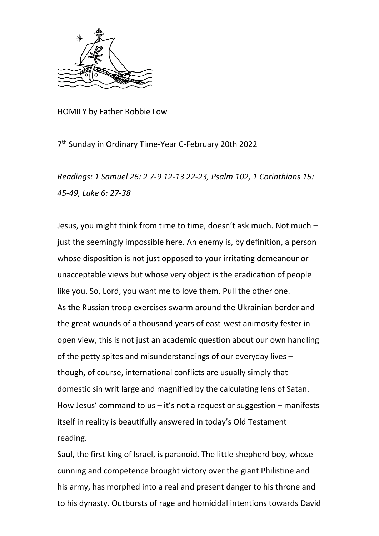

HOMILY by Father Robbie Low

7 th Sunday in Ordinary Time-Year C-February 20th 2022

*Readings: 1 Samuel 26: 2 7-9 12-13 22-23, Psalm 102, 1 Corinthians 15: 45-49, Luke 6: 27-38*

Jesus, you might think from time to time, doesn't ask much. Not much – just the seemingly impossible here. An enemy is, by definition, a person whose disposition is not just opposed to your irritating demeanour or unacceptable views but whose very object is the eradication of people like you. So, Lord, you want me to love them. Pull the other one. As the Russian troop exercises swarm around the Ukrainian border and the great wounds of a thousand years of east-west animosity fester in open view, this is not just an academic question about our own handling of the petty spites and misunderstandings of our everyday lives – though, of course, international conflicts are usually simply that domestic sin writ large and magnified by the calculating lens of Satan. How Jesus' command to us  $-$  it's not a request or suggestion – manifests itself in reality is beautifully answered in today's Old Testament reading.

Saul, the first king of Israel, is paranoid. The little shepherd boy, whose cunning and competence brought victory over the giant Philistine and his army, has morphed into a real and present danger to his throne and to his dynasty. Outbursts of rage and homicidal intentions towards David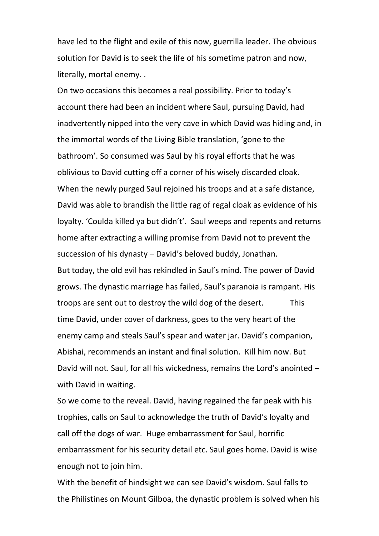have led to the flight and exile of this now, guerrilla leader. The obvious solution for David is to seek the life of his sometime patron and now, literally, mortal enemy. .

On two occasions this becomes a real possibility. Prior to today's account there had been an incident where Saul, pursuing David, had inadvertently nipped into the very cave in which David was hiding and, in the immortal words of the Living Bible translation, 'gone to the bathroom'. So consumed was Saul by his royal efforts that he was oblivious to David cutting off a corner of his wisely discarded cloak. When the newly purged Saul rejoined his troops and at a safe distance, David was able to brandish the little rag of regal cloak as evidence of his loyalty. 'Coulda killed ya but didn't'. Saul weeps and repents and returns home after extracting a willing promise from David not to prevent the succession of his dynasty – David's beloved buddy, Jonathan. But today, the old evil has rekindled in Saul's mind. The power of David grows. The dynastic marriage has failed, Saul's paranoia is rampant. His troops are sent out to destroy the wild dog of the desert. This time David, under cover of darkness, goes to the very heart of the enemy camp and steals Saul's spear and water jar. David's companion, Abishai, recommends an instant and final solution. Kill him now. But David will not. Saul, for all his wickedness, remains the Lord's anointed – with David in waiting.

So we come to the reveal. David, having regained the far peak with his trophies, calls on Saul to acknowledge the truth of David's loyalty and call off the dogs of war. Huge embarrassment for Saul, horrific embarrassment for his security detail etc. Saul goes home. David is wise enough not to join him.

With the benefit of hindsight we can see David's wisdom. Saul falls to the Philistines on Mount Gilboa, the dynastic problem is solved when his